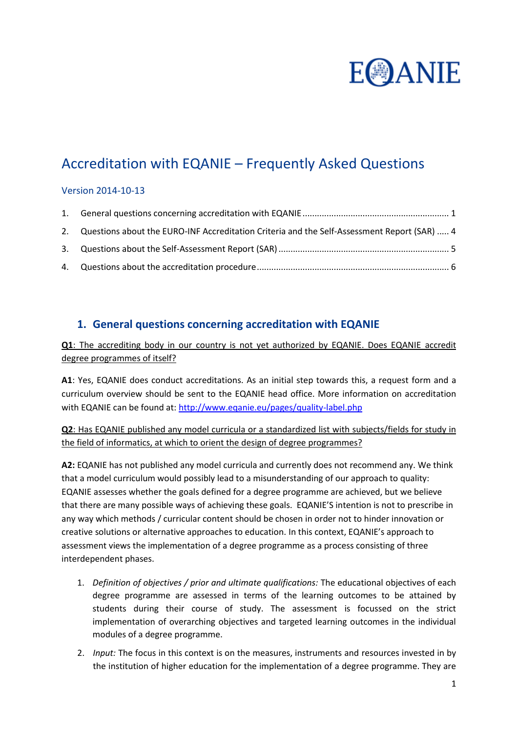

# Accreditation with EQANIE – Frequently Asked Questions

## Version 2014-10-13

| 2. Questions about the EURO-INF Accreditation Criteria and the Self-Assessment Report (SAR)  4 |  |
|------------------------------------------------------------------------------------------------|--|
|                                                                                                |  |
|                                                                                                |  |

## <span id="page-0-0"></span>**1. General questions concerning accreditation with EQANIE**

**Q1**: The accrediting body in our country is not yet authorized by EQANIE. Does EQANIE accredit degree programmes of itself?

**A1**: Yes, EQANIE does conduct accreditations. As an initial step towards this, a request form and a curriculum overview should be sent to the EQANIE head office. More information on accreditation with EQANIE can be found at:<http://www.eqanie.eu/pages/quality-label.php>

**Q2**: Has EQANIE published any model curricula or a standardized list with subjects/fields for study in the field of informatics, at which to orient the design of degree programmes?

**A2:** EQANIE has not published any model curricula and currently does not recommend any. We think that a model curriculum would possibly lead to a misunderstanding of our approach to quality: EQANIE assesses whether the goals defined for a degree programme are achieved, but we believe that there are many possible ways of achieving these goals. EQANIE'S intention is not to prescribe in any way which methods / curricular content should be chosen in order not to hinder innovation or creative solutions or alternative approaches to education. In this context, EQANIE's approach to assessment views the implementation of a degree programme as a process consisting of three interdependent phases.

- 1. *Definition of objectives / prior and ultimate qualifications:* The educational objectives of each degree programme are assessed in terms of the learning outcomes to be attained by students during their course of study. The assessment is focussed on the strict implementation of overarching objectives and targeted learning outcomes in the individual modules of a degree programme.
- 2. *Input:* The focus in this context is on the measures, instruments and resources invested in by the institution of higher education for the implementation of a degree programme. They are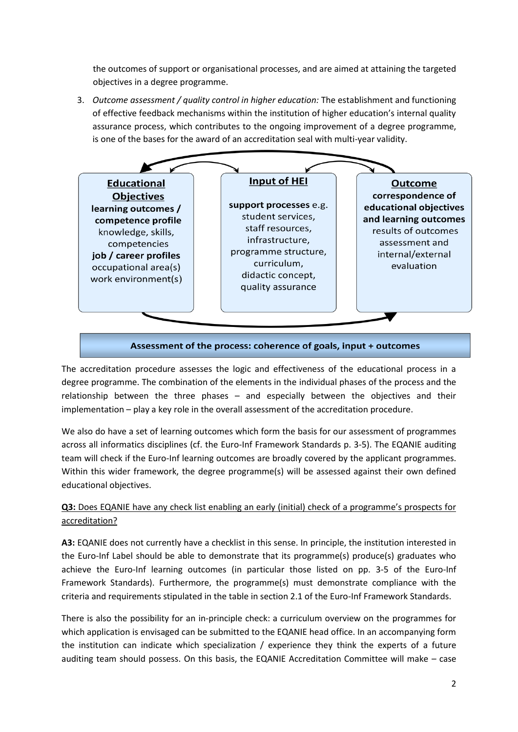the outcomes of support or organisational processes, and are aimed at attaining the targeted objectives in a degree programme.

3. *Outcome assessment / quality control in higher education:* The establishment and functioning of effective feedback mechanisms within the institution of higher education's internal quality assurance process, which contributes to the ongoing improvement of a degree programme, is one of the bases for the award of an accreditation seal with multi-year validity.



## Assessment of the process: coherence of goals, input + outcomes

The accreditation procedure assesses the logic and effectiveness of the educational process in a degree programme. The combination of the elements in the individual phases of the process and the relationship between the three phases – and especially between the objectives and their implementation – play a key role in the overall assessment of the accreditation procedure.

We also do have a set of learning outcomes which form the basis for our assessment of programmes across all informatics disciplines (cf. the Euro-Inf Framework Standards p. 3-5). The EQANIE auditing team will check if the Euro-Inf learning outcomes are broadly covered by the applicant programmes. Within this wider framework, the degree programme(s) will be assessed against their own defined educational objectives.

## **Q3:** Does EQANIE have any check list enabling an early (initial) check of a programme's prospects for accreditation?

**A3:** EQANIE does not currently have a checklist in this sense. In principle, the institution interested in the Euro-Inf Label should be able to demonstrate that its programme(s) produce(s) graduates who achieve the Euro-Inf learning outcomes (in particular those listed on pp. 3-5 of the Euro-Inf Framework Standards). Furthermore, the programme(s) must demonstrate compliance with the criteria and requirements stipulated in the table in section 2.1 of the Euro-Inf Framework Standards.

There is also the possibility for an in-principle check: a curriculum overview on the programmes for which application is envisaged can be submitted to the EQANIE head office. In an accompanying form the institution can indicate which specialization / experience they think the experts of a future auditing team should possess. On this basis, the EQANIE Accreditation Committee will make – case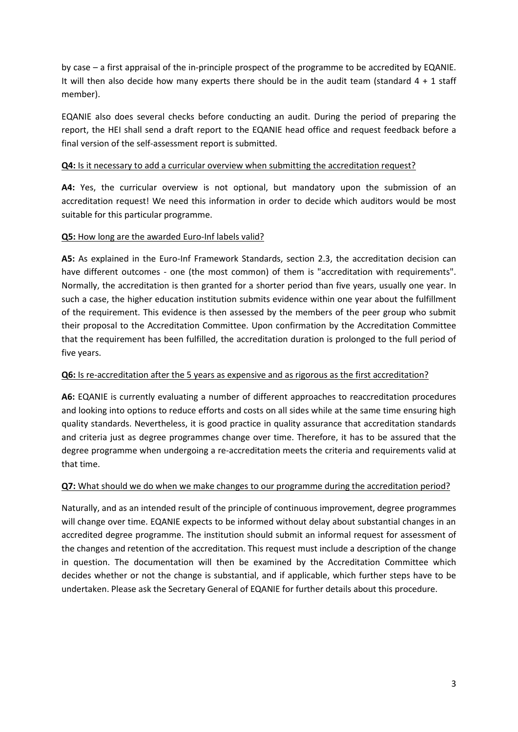by case – a first appraisal of the in-principle prospect of the programme to be accredited by EQANIE. It will then also decide how many experts there should be in the audit team (standard  $4 + 1$  staff member).

EQANIE also does several checks before conducting an audit. During the period of preparing the report, the HEI shall send a draft report to the EQANIE head office and request feedback before a final version of the self-assessment report is submitted.

## **Q4:** Is it necessary to add a curricular overview when submitting the accreditation request?

**A4:** Yes, the curricular overview is not optional, but mandatory upon the submission of an accreditation request! We need this information in order to decide which auditors would be most suitable for this particular programme.

## **Q5:** How long are the awarded Euro-Inf labels valid?

**A5:** As explained in the Euro-Inf Framework Standards, section 2.3, the accreditation decision can have different outcomes - one (the most common) of them is "accreditation with requirements". Normally, the accreditation is then granted for a shorter period than five years, usually one year. In such a case, the higher education institution submits evidence within one year about the fulfillment of the requirement. This evidence is then assessed by the members of the peer group who submit their proposal to the Accreditation Committee. Upon confirmation by the Accreditation Committee that the requirement has been fulfilled, the accreditation duration is prolonged to the full period of five years.

## **Q6:** Is re-accreditation after the 5 years as expensive and as rigorous as the first accreditation?

**A6:** EQANIE is currently evaluating a number of different approaches to reaccreditation procedures and looking into options to reduce efforts and costs on all sides while at the same time ensuring high quality standards. Nevertheless, it is good practice in quality assurance that accreditation standards and criteria just as degree programmes change over time. Therefore, it has to be assured that the degree programme when undergoing a re-accreditation meets the criteria and requirements valid at that time.

## **Q7:** What should we do when we make changes to our programme during the accreditation period?

Naturally, and as an intended result of the principle of continuous improvement, degree programmes will change over time. EQANIE expects to be informed without delay about substantial changes in an accredited degree programme. The institution should submit an informal request for assessment of the changes and retention of the accreditation. This request must include a description of the change in question. The documentation will then be examined by the Accreditation Committee which decides whether or not the change is substantial, and if applicable, which further steps have to be undertaken. Please ask the Secretary General of EQANIE for further details about this procedure.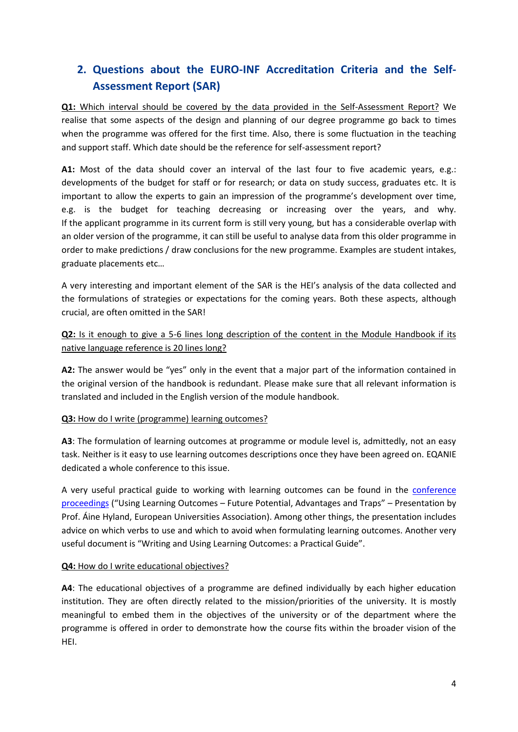## <span id="page-3-0"></span>**2. Questions about the EURO-INF Accreditation Criteria and the Self-Assessment Report (SAR)**

**Q1:** Which interval should be covered by the data provided in the Self-Assessment Report? We realise that some aspects of the design and planning of our degree programme go back to times when the programme was offered for the first time. Also, there is some fluctuation in the teaching and support staff. Which date should be the reference for self-assessment report?

**A1:** Most of the data should cover an interval of the last four to five academic years, e.g.: developments of the budget for staff or for research; or data on study success, graduates etc. It is important to allow the experts to gain an impression of the programme's development over time, e.g. is the budget for teaching decreasing or increasing over the years, and why. If the applicant programme in its current form is still very young, but has a considerable overlap with an older version of the programme, it can still be useful to analyse data from this older programme in order to make predictions / draw conclusions for the new programme. Examples are student intakes, graduate placements etc…

A very interesting and important element of the SAR is the HEI's analysis of the data collected and the formulations of strategies or expectations for the coming years. Both these aspects, although crucial, are often omitted in the SAR!

## **Q2:** Is it enough to give a 5-6 lines long description of the content in the Module Handbook if its native language reference is 20 lines long?

**A2:** The answer would be "yes" only in the event that a major part of the information contained in the original version of the handbook is redundant. Please make sure that all relevant information is translated and included in the English version of the module handbook.

## **Q3:** How do I write (programme) learning outcomes?

**A3**: The formulation of learning outcomes at programme or module level is, admittedly, not an easy task. Neither is it easy to use learning outcomes descriptions once they have been agreed on. EQANIE dedicated a whole conference to this issue.

A very useful practical guide to working with learning outcomes can be found in the [conference](http://www.eqanie.eu/pages/events/past-events/conference-vienna-2011.php)  [proceedings](http://www.eqanie.eu/pages/events/past-events/conference-vienna-2011.php) ("Using Learning Outcomes – Future Potential, Advantages and Traps" – Presentation by Prof. Áine Hyland, European Universities Association). Among other things, the presentation includes advice on which verbs to use and which to avoid when formulating learning outcomes. Another very useful document is "Writing and Using Learning Outcomes: a Practical Guide".

## **Q4:** How do I write educational objectives?

**A4**: The educational objectives of a programme are defined individually by each higher education institution. They are often directly related to the mission/priorities of the university. It is mostly meaningful to embed them in the objectives of the university or of the department where the programme is offered in order to demonstrate how the course fits within the broader vision of the HEI.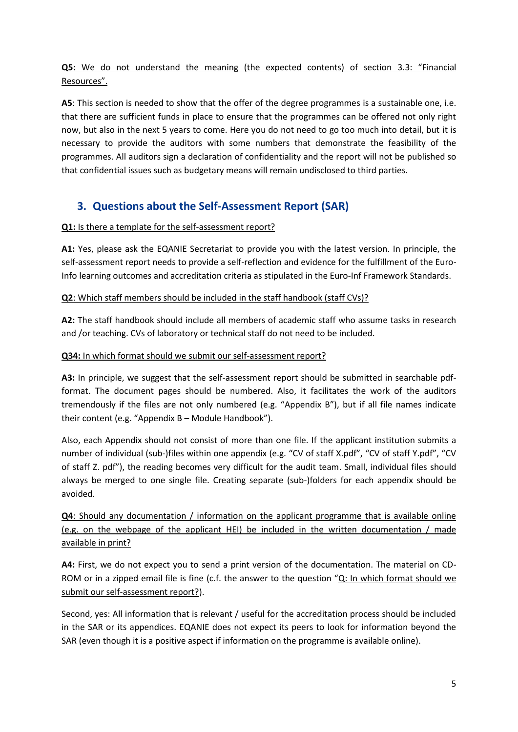**Q5:** We do not understand the meaning (the expected contents) of section 3.3: "Financial Resources".

**A5**: This section is needed to show that the offer of the degree programmes is a sustainable one, i.e. that there are sufficient funds in place to ensure that the programmes can be offered not only right now, but also in the next 5 years to come. Here you do not need to go too much into detail, but it is necessary to provide the auditors with some numbers that demonstrate the feasibility of the programmes. All auditors sign a declaration of confidentiality and the report will not be published so that confidential issues such as budgetary means will remain undisclosed to third parties.

## <span id="page-4-0"></span>**3. Questions about the Self-Assessment Report (SAR)**

## **Q1:** Is there a template for the self-assessment report?

**A1:** Yes, please ask the EQANIE Secretariat to provide you with the latest version. In principle, the self-assessment report needs to provide a self-reflection and evidence for the fulfillment of the Euro-Info learning outcomes and accreditation criteria as stipulated in the Euro-Inf Framework Standards.

## **Q2**: Which staff members should be included in the staff handbook (staff CVs)?

**A2:** The staff handbook should include all members of academic staff who assume tasks in research and /or teaching. CVs of laboratory or technical staff do not need to be included.

## **Q34:** In which format should we submit our self-assessment report?

A3: In principle, we suggest that the self-assessment report should be submitted in searchable pdfformat. The document pages should be numbered. Also, it facilitates the work of the auditors tremendously if the files are not only numbered (e.g. "Appendix B"), but if all file names indicate their content (e.g. "Appendix B – Module Handbook").

Also, each Appendix should not consist of more than one file. If the applicant institution submits a number of individual (sub-)files within one appendix (e.g. "CV of staff X.pdf", "CV of staff Y.pdf", "CV of staff Z. pdf"), the reading becomes very difficult for the audit team. Small, individual files should always be merged to one single file. Creating separate (sub-)folders for each appendix should be avoided.

**Q4**: Should any documentation / information on the applicant programme that is available online (e.g. on the webpage of the applicant HEI) be included in the written documentation / made available in print?

**A4:** First, we do not expect you to send a print version of the documentation. The material on CD-ROM or in a zipped email file is fine (c.f. the answer to the question "Q: In which format should we submit our self-assessment report?).

Second, yes: All information that is relevant / useful for the accreditation process should be included in the SAR or its appendices. EQANIE does not expect its peers to look for information beyond the SAR (even though it is a positive aspect if information on the programme is available online).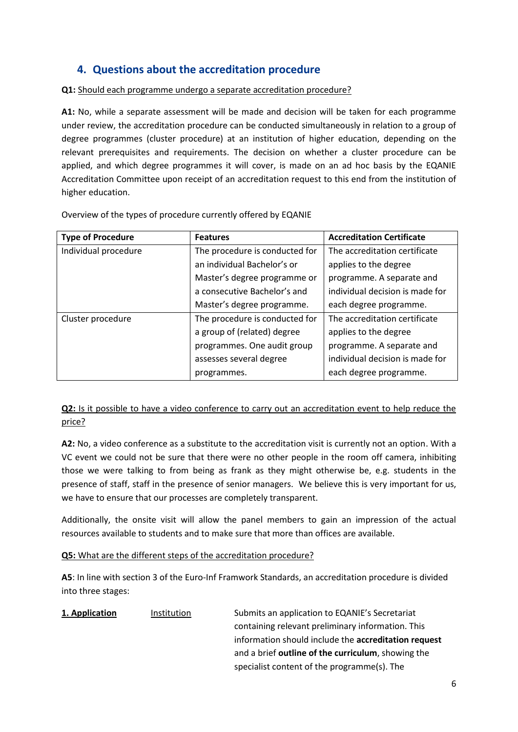## <span id="page-5-0"></span>**4. Questions about the accreditation procedure**

**Q1:** Should each programme undergo a separate accreditation procedure?

**A1:** No, while a separate assessment will be made and decision will be taken for each programme under review, the accreditation procedure can be conducted simultaneously in relation to a group of degree programmes (cluster procedure) at an institution of higher education, depending on the relevant prerequisites and requirements. The decision on whether a cluster procedure can be applied, and which degree programmes it will cover, is made on an ad hoc basis by the EQANIE Accreditation Committee upon receipt of an accreditation request to this end from the institution of higher education.

Overview of the types of procedure currently offered by EQANIE

| <b>Type of Procedure</b> | <b>Accreditation Certificate</b><br><b>Features</b> |                                 |
|--------------------------|-----------------------------------------------------|---------------------------------|
| Individual procedure     | The procedure is conducted for                      | The accreditation certificate   |
|                          | an individual Bachelor's or                         | applies to the degree           |
|                          | Master's degree programme or                        | programme. A separate and       |
|                          | a consecutive Bachelor's and                        | individual decision is made for |
|                          | Master's degree programme.                          | each degree programme.          |
| Cluster procedure        | The procedure is conducted for                      | The accreditation certificate   |
|                          | a group of (related) degree                         | applies to the degree           |
|                          | programmes. One audit group                         | programme. A separate and       |
|                          | assesses several degree                             | individual decision is made for |
|                          | programmes.                                         | each degree programme.          |

**Q2:** Is it possible to have a video conference to carry out an accreditation event to help reduce the price?

**A2:** No, a video conference as a substitute to the accreditation visit is currently not an option. With a VC event we could not be sure that there were no other people in the room off camera, inhibiting those we were talking to from being as frank as they might otherwise be, e.g. students in the presence of staff, staff in the presence of senior managers. We believe this is very important for us, we have to ensure that our processes are completely transparent.

Additionally, the onsite visit will allow the panel members to gain an impression of the actual resources available to students and to make sure that more than offices are available.

**Q5:** What are the different steps of the accreditation procedure?

**A5**: In line with section 3 of the Euro-Inf Framwork Standards, an accreditation procedure is divided into three stages:

| 1. Application | Institution | Submits an application to EQANIE's Secretariat       |
|----------------|-------------|------------------------------------------------------|
|                |             | containing relevant preliminary information. This    |
|                |             | information should include the accreditation request |
|                |             | and a brief outline of the curriculum, showing the   |
|                |             | specialist content of the programme(s). The          |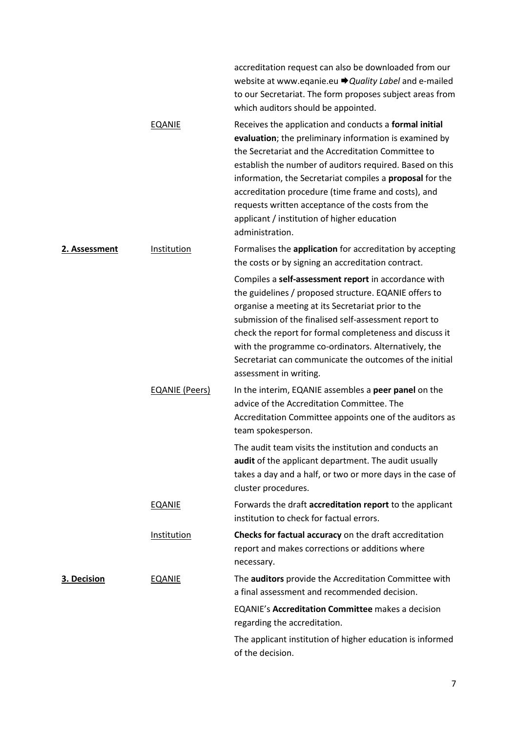|               |                       | accreditation request can also be downloaded from our<br>website at www.eqanie.eu → Quality Label and e-mailed<br>to our Secretariat. The form proposes subject areas from<br>which auditors should be appointed.                                                                                                                                                                                                                                                                   |
|---------------|-----------------------|-------------------------------------------------------------------------------------------------------------------------------------------------------------------------------------------------------------------------------------------------------------------------------------------------------------------------------------------------------------------------------------------------------------------------------------------------------------------------------------|
|               | <b>EQANIE</b>         | Receives the application and conducts a formal initial<br>evaluation; the preliminary information is examined by<br>the Secretariat and the Accreditation Committee to<br>establish the number of auditors required. Based on this<br>information, the Secretariat compiles a <b>proposal</b> for the<br>accreditation procedure (time frame and costs), and<br>requests written acceptance of the costs from the<br>applicant / institution of higher education<br>administration. |
| 2. Assessment | Institution           | Formalises the application for accreditation by accepting<br>the costs or by signing an accreditation contract.                                                                                                                                                                                                                                                                                                                                                                     |
|               |                       | Compiles a self-assessment report in accordance with<br>the guidelines / proposed structure. EQANIE offers to<br>organise a meeting at its Secretariat prior to the<br>submission of the finalised self-assessment report to<br>check the report for formal completeness and discuss it<br>with the programme co-ordinators. Alternatively, the<br>Secretariat can communicate the outcomes of the initial<br>assessment in writing.                                                |
|               | <b>EQANIE (Peers)</b> | In the interim, EQANIE assembles a peer panel on the<br>advice of the Accreditation Committee. The<br>Accreditation Committee appoints one of the auditors as<br>team spokesperson.                                                                                                                                                                                                                                                                                                 |
|               |                       | The audit team visits the institution and conducts an<br>audit of the applicant department. The audit usually<br>takes a day and a half, or two or more days in the case of<br>cluster procedures.                                                                                                                                                                                                                                                                                  |
|               | <b>EQANIE</b>         | Forwards the draft accreditation report to the applicant<br>institution to check for factual errors.                                                                                                                                                                                                                                                                                                                                                                                |
|               | Institution           | Checks for factual accuracy on the draft accreditation<br>report and makes corrections or additions where<br>necessary.                                                                                                                                                                                                                                                                                                                                                             |
| 3. Decision   | <b>EQANIE</b>         | The auditors provide the Accreditation Committee with<br>a final assessment and recommended decision.                                                                                                                                                                                                                                                                                                                                                                               |
|               |                       | <b>EQANIE's Accreditation Committee</b> makes a decision<br>regarding the accreditation.                                                                                                                                                                                                                                                                                                                                                                                            |
|               |                       | The applicant institution of higher education is informed<br>of the decision.                                                                                                                                                                                                                                                                                                                                                                                                       |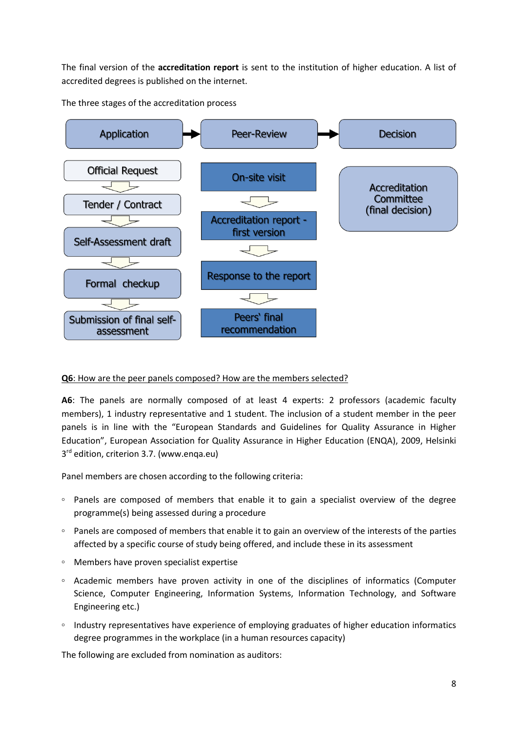The final version of the **accreditation report** is sent to the institution of higher education. A list of accredited degrees is published on the internet.

The three stages of the accreditation process



## **Q6**: How are the peer panels composed? How are the members selected?

**A6**: The panels are normally composed of at least 4 experts: 2 professors (academic faculty members), 1 industry representative and 1 student. The inclusion of a student member in the peer panels is in line with the "European Standards and Guidelines for Quality Assurance in Higher Education", European Association for Quality Assurance in Higher Education (ENQA), 2009, Helsinki 3<sup>rd</sup> edition, criterion 3.7. (www.enqa.eu)

Panel members are chosen according to the following criteria:

- Panels are composed of members that enable it to gain a specialist overview of the degree programme(s) being assessed during a procedure
- Panels are composed of members that enable it to gain an overview of the interests of the parties affected by a specific course of study being offered, and include these in its assessment
- Members have proven specialist expertise
- Academic members have proven activity in one of the disciplines of informatics (Computer Science, Computer Engineering, Information Systems, Information Technology, and Software Engineering etc.)
- Industry representatives have experience of employing graduates of higher education informatics degree programmes in the workplace (in a human resources capacity)

The following are excluded from nomination as auditors: